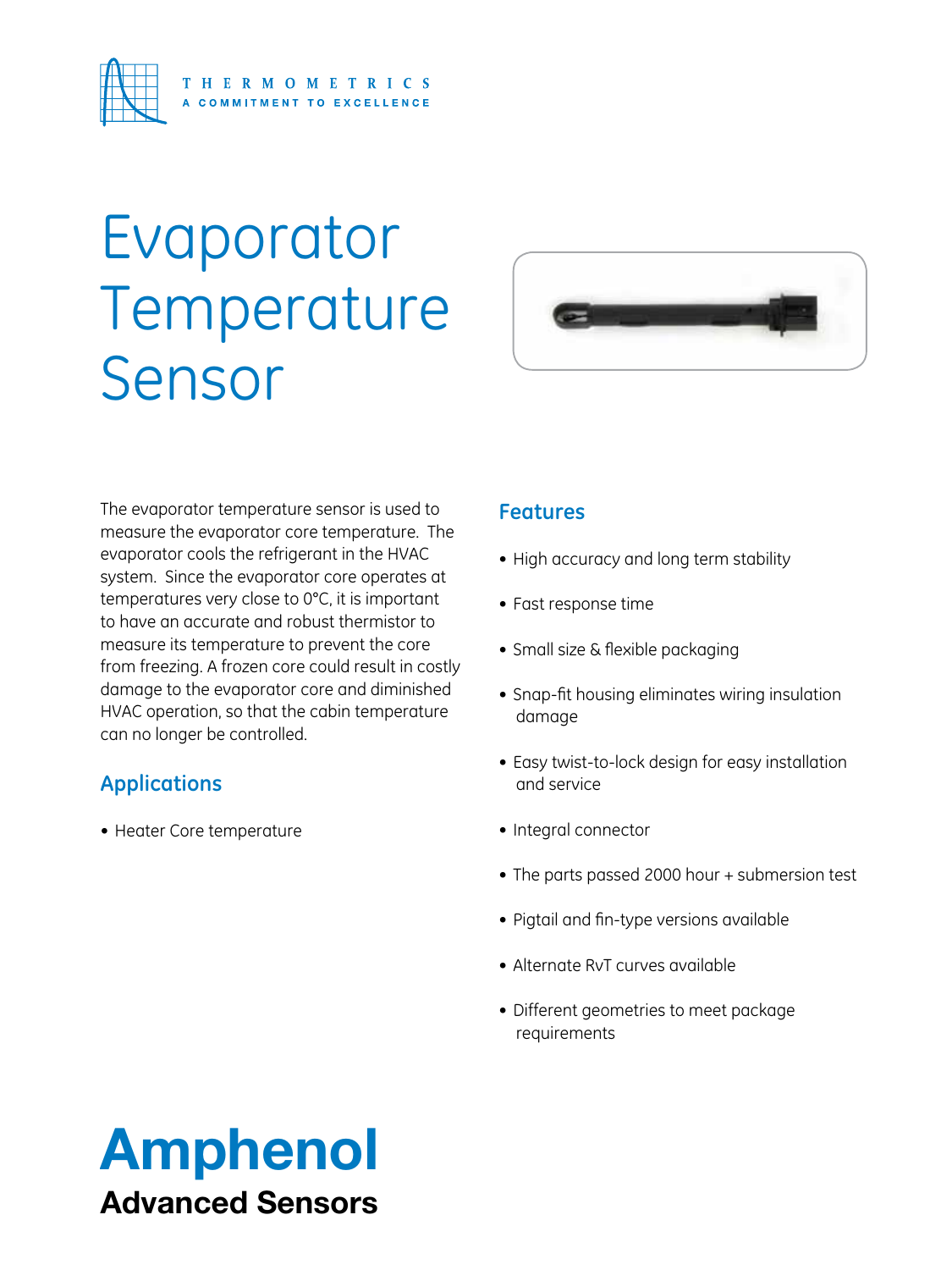

## Evaporator Temperature Sensor



The evaporator temperature sensor is used to measure the evaporator core temperature. The evaporator cools the refrigerant in the HVAC system. Since the evaporator core operates at temperatures very close to 0°C, it is important to have an accurate and robust thermistor to measure its temperature to prevent the core from freezing. A frozen core could result in costly damage to the evaporator core and diminished HVAC operation, so that the cabin temperature can no longer be controlled.

## **Applications**

• Heater Core temperature

## **Features**

- High accuracy and long term stability
- • Fast response time
- Small size & flexible packaging
- Snap-fit housing eliminates wiring insulation damage
- Easy twist-to-lock design for easy installation and service
- Integral connector
- The parts passed 2000 hour + submersion test
- Pigtail and fin-type versions available
- Alternate RvT curves available
- Different geometries to meet package requirements

## Amphenol Advanced Sensors